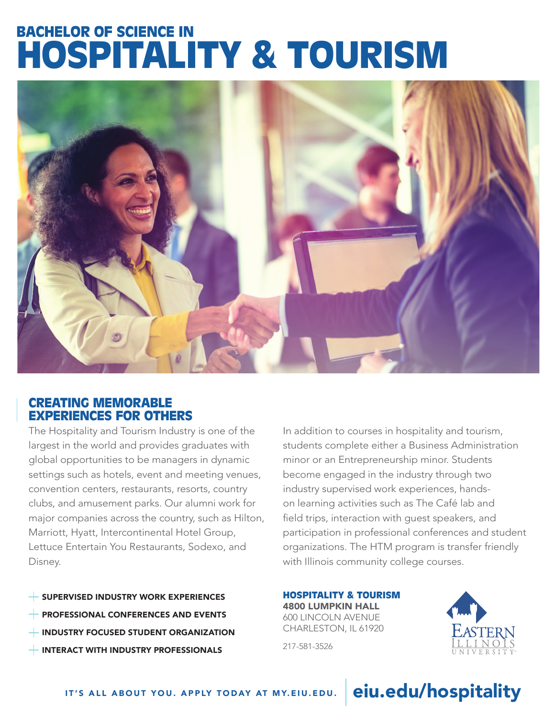# BACHELOR OF SCIENCE IN HOSPITALITY & TOURISM



## CREATING MEMORABLE EXPERIENCES FOR OTHERS

The Hospitality and Tourism Industry is one of the largest in the world and provides graduates with global opportunities to be managers in dynamic settings such as hotels, event and meeting venues, convention centers, restaurants, resorts, country clubs, and amusement parks. Our alumni work for major companies across the country, such as Hilton, Marriott, Hyatt, Intercontinental Hotel Group, Lettuce Entertain You Restaurants, Sodexo, and Disney.

SUPERVISED INDUSTRY WORK EXPERIENCES PROFESSIONAL CONFERENCES AND EVENTS INDUSTRY FOCUSED STUDENT ORGANIZATION **INTERACT WITH INDUSTRY PROFESSIONALS** 

In addition to courses in hospitality and tourism, students complete either a Business Administration minor or an Entrepreneurship minor. Students become engaged in the industry through two industry supervised work experiences, handson learning activities such as The Café lab and field trips, interaction with guest speakers, and participation in professional conferences and student organizations. The HTM program is transfer friendly with Illinois community college courses.

HOSPITALITY & TOURISM 4800 LUMPKIN HALL 600 LINCOLN AVENUE CHARLESTON, IL 61920

217-581-3526



### IT'S ALL ABOUT YOU. APPLY TODAY AT MY.EIU.EDU.

# eiu.edu/hospitality